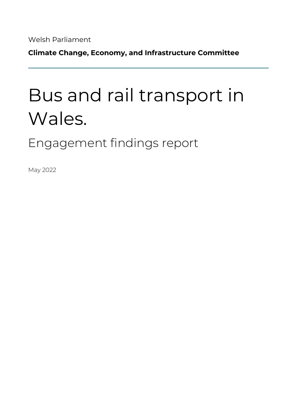Welsh Parliament

**Climate Change, Economy, and Infrastructure Committee**

# Bus and rail transport in Wales.

Engagement findings report

May 2022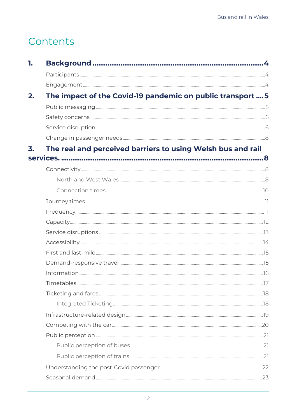# Contents

| 1. |                                                                                                                                                                                                                                |  |
|----|--------------------------------------------------------------------------------------------------------------------------------------------------------------------------------------------------------------------------------|--|
|    |                                                                                                                                                                                                                                |  |
|    |                                                                                                                                                                                                                                |  |
| 2. | The impact of the Covid-19 pandemic on public transport  5                                                                                                                                                                     |  |
|    |                                                                                                                                                                                                                                |  |
|    |                                                                                                                                                                                                                                |  |
|    |                                                                                                                                                                                                                                |  |
|    |                                                                                                                                                                                                                                |  |
| 3. | The real and perceived barriers to using Welsh bus and rail                                                                                                                                                                    |  |
|    |                                                                                                                                                                                                                                |  |
|    |                                                                                                                                                                                                                                |  |
|    |                                                                                                                                                                                                                                |  |
|    |                                                                                                                                                                                                                                |  |
|    |                                                                                                                                                                                                                                |  |
|    |                                                                                                                                                                                                                                |  |
|    |                                                                                                                                                                                                                                |  |
|    |                                                                                                                                                                                                                                |  |
|    |                                                                                                                                                                                                                                |  |
|    |                                                                                                                                                                                                                                |  |
|    |                                                                                                                                                                                                                                |  |
|    | 16 noting to the wave control of the control of the control of the control of the control of the control of the control of the control of the control of the control of the control of the control of the control of the contr |  |
|    |                                                                                                                                                                                                                                |  |
|    |                                                                                                                                                                                                                                |  |
|    |                                                                                                                                                                                                                                |  |
|    |                                                                                                                                                                                                                                |  |
|    |                                                                                                                                                                                                                                |  |
|    |                                                                                                                                                                                                                                |  |
|    |                                                                                                                                                                                                                                |  |
|    |                                                                                                                                                                                                                                |  |
|    |                                                                                                                                                                                                                                |  |
|    |                                                                                                                                                                                                                                |  |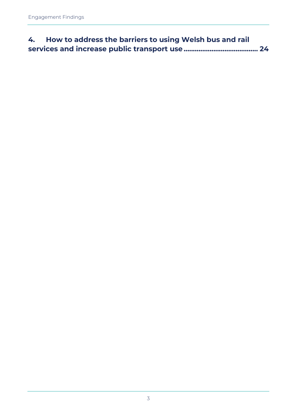<span id="page-2-0"></span>

| 4. How to address the barriers to using Welsh bus and rail |  |
|------------------------------------------------------------|--|
|                                                            |  |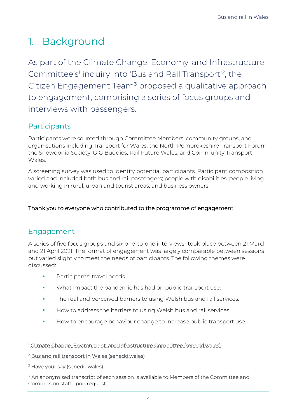# 1. Background

As part of the Climate Change, Economy, and Infrastructure Committee's' inquiry into 'Bus and Rail Transport'<sup>2</sup>, the Citizen Engagement Team<sup>3</sup> proposed a qualitative approach to engagement, comprising a series of focus groups and interviews with passengers.

## <span id="page-3-0"></span>Participants

Participants were sourced through Committee Members, community groups, and organisations including Transport for Wales, the North Pembrokeshire Transport Forum, the Snowdonia Society, GIG Buddies, Rail Future Wales, and Community Transport Wales.

A screening survey was used to identify potential participants. Participant composition varied and included both bus and rail passengers; people with disabilities, people living and working in rural, urban and tourist areas; and business owners.

#### <span id="page-3-1"></span>Thank you to everyone who contributed to the programme of engagement.

### Engagement

A series of five focus groups and six one-to-one interviews<sup>4</sup> took place between 21 March and 21 April 2021. The format of engagement was largely comparable between sessions but varied slightly to meet the needs of participants. The following themes were discussed:

- Participants' travel needs.
- What impact the pandemic has had on public transport use.
- **The real and perceived barriers to using Welsh bus and rail services.**
- How to address the barriers to using Welsh bus and rail services.
- How to encourage behaviour change to increase public transport use.

<sup>1</sup> [Climate Change, Environment, and Infrastructure Committee \(senedd.wales\)](https://senedd.wales/committee/741)

<sup>2</sup> [Bus and rail transport in Wales \(senedd.wales\)](https://business.senedd.wales/mgIssueHistoryHome.aspx?IId=39263)

<sup>&</sup>lt;sup>3</sup> [Have your say \(senedd.wales\)](https://senedd.wales/visit/across-wales/have-your-say/)

<sup>4</sup> An anonymised transcript of each session is available to Members of the Committee and Commission staff upon request.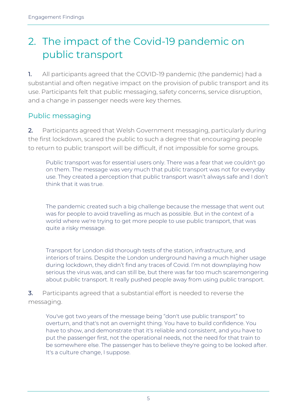# <span id="page-4-0"></span>2. The impact of the Covid-19 pandemic on public transport

1. All participants agreed that the COVID-19 pandemic (the pandemic) had a substantial and often negative impact on the provision of public transport and its use. Participants felt that public messaging, safety concerns, service disruption, and a change in passenger needs were key themes.

# <span id="page-4-1"></span>Public messaging

2. Participants agreed that Welsh Government messaging, particularly during the first lockdown, scared the public to such a degree that encouraging people to return to public transport will be difficult, if not impossible for some groups.

Public transport was for essential users only. There was a fear that we couldn't go on them. The message was very much that public transport was not for everyday use. They created a perception that public transport wasn't always safe and I don't think that it was true.

The pandemic created such a big challenge because the message that went out was for people to avoid travelling as much as possible. But in the context of a world where we're trying to get more people to use public transport, that was quite a risky message.

Transport for London did thorough tests of the station, infrastructure, and interiors of trains. Despite the London underground having a much higher usage during lockdown, they didn't find any traces of Covid. I'm not downplaying how serious the virus was, and can still be, but there was far too much scaremongering about public transport. It really pushed people away from using public transport.

3. Participants agreed that a substantial effort is needed to reverse the messaging.

You've got two years of the message being "don't use public transport" to overturn, and that's not an overnight thing. You have to build confidence. You have to show, and demonstrate that it's reliable and consistent, and you have to put the passenger first, not the operational needs, not the need for that train to be somewhere else. The passenger has to believe they're going to be looked after. It's a culture change, I suppose.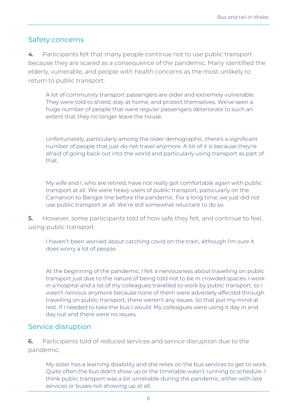### <span id="page-5-0"></span>Safety concerns

4. Participants felt that many people continue not to use public transport because they are scared as a consequence of the pandemic. Many identified the elderly, vulnerable, and people with health concerns as the most unlikely to return to public transport.

A lot of community transport passengers are older and extremely vulnerable. They were told to shield, stay at home, and protect themselves. We've seen a huge number of people that were regular passengers deteriorate to such an extent that they no longer leave the house.

Unfortunately, particularly among the older demographic, there's a significant number of people that just do not travel anymore. A lot of it is because they're afraid of going back out into the world and particularly using transport as part of that.

My wife and I, who are retired, have not really got comfortable again with public transport at all. We were heavy users of public transport, particularly on the Carnarvon to Bangor line before the pandemic. For a long time, we just did not use public transport at all. We're still somewhat reluctant to do so.

5. However, some participants told of how safe they felt, and continue to feel, using public transport.

I haven't been worried about catching covid on the train, although I'm sure it does worry a lot of people.

At the beginning of the pandemic, I felt a nervousness about travelling on public transport just due to the nature of being told not to be in crowded spaces. I work in a hospital and a lot of my colleagues travelled to work by public transport, so I wasn't nervous anymore because none of them were adversely affected through travelling on public transport, there weren't any issues. So that put my mind at rest. If I needed to take the bus I would. My colleagues were using it day in and day out and there were no issues.

#### <span id="page-5-1"></span>Service disruption

6. Participants told of reduced services and service disruption due to the pandemic.

My sister has a learning disability and she relies on the bus services to get to work. Quite often the bus didn't show up or the timetable wasn't running to schedule. I think public transport was a bit unreliable during the pandemic, either with late services or buses not showing up at all.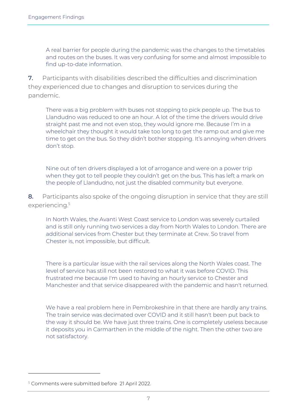A real barrier for people during the pandemic was the changes to the timetables and routes on the buses. It was very confusing for some and almost impossible to find up-to-date information.

7. Participants with disabilities described the difficulties and discrimination they experienced due to changes and disruption to services during the pandemic.

There was a big problem with buses not stopping to pick people up. The bus to Llandudno was reduced to one an hour. A lot of the time the drivers would drive straight past me and not even stop, they would ignore me. Because I'm in a wheelchair they thought it would take too long to get the ramp out and give me time to get on the bus. So they didn't bother stopping. It's annoying when drivers don't stop.

Nine out of ten drivers displayed a lot of arrogance and were on a power trip when they got to tell people they couldn't get on the bus. This has left a mark on the people of Llandudno, not just the disabled community but everyone.

8. Participants also spoke of the ongoing disruption in service that they are still experiencing. 5

In North Wales, the Avanti West Coast service to London was severely curtailed and is still only running two services a day from North Wales to London. There are additional services from Chester but they terminate at Crew. So travel from Chester is, not impossible, but difficult.

There is a particular issue with the rail services along the North Wales coast. The level of service has still not been restored to what it was before COVID. This frustrated me because I'm used to having an hourly service to Chester and Manchester and that service disappeared with the pandemic and hasn't returned.

We have a real problem here in Pembrokeshire in that there are hardly any trains. The train service was decimated over COVID and it still hasn't been put back to the way it should be. We have just three trains. One is completely useless because it deposits you in Carmarthen in the middle of the night. Then the other two are not satisfactory.

<sup>5</sup> Comments were submitted before 21 April 2022.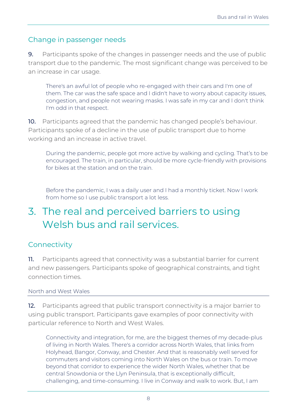#### <span id="page-7-0"></span>Change in passenger needs

9. Participants spoke of the changes in passenger needs and the use of public transport due to the pandemic. The most significant change was perceived to be an increase in car usage.

There's an awful lot of people who re-engaged with their cars and I'm one of them. The car was the safe space and I didn't have to worry about capacity issues, congestion, and people not wearing masks. I was safe in my car and I don't think I'm odd in that respect.

10. Participants agreed that the pandemic has changed people's behaviour. Participants spoke of a decline in the use of public transport due to home working and an increase in active travel.

During the pandemic, people got more active by walking and cycling. That's to be encouraged. The train, in particular, should be more cycle-friendly with provisions for bikes at the station and on the train.

Before the pandemic, I was a daily user and I had a monthly ticket. Now I work from home so I use public transport a lot less.

# <span id="page-7-1"></span>3. The real and perceived barriers to using Welsh bus and rail services.

### <span id="page-7-2"></span>**Connectivity**

11. Participants agreed that connectivity was a substantial barrier for current and new passengers. Participants spoke of geographical constraints, and tight connection times.

#### <span id="page-7-3"></span>North and West Wales

12. Participants agreed that public transport connectivity is a major barrier to using public transport. Participants gave examples of poor connectivity with particular reference to North and West Wales.

Connectivity and integration, for me, are the biggest themes of my decade-plus of living in North Wales. There's a corridor across North Wales, that links from Holyhead, Bangor, Conway, and Chester. And that is reasonably well served for commuters and visitors coming into North Wales on the bus or train. To move beyond that corridor to experience the wider North Wales, whether that be central Snowdonia or the Llyn Peninsula, that is exceptionally difficult, challenging, and time-consuming. I live in Conway and walk to work. But, I am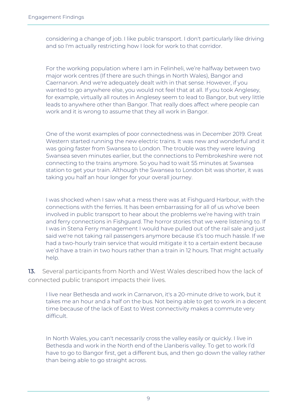considering a change of job. I like public transport. I don't particularly like driving and so I'm actually restricting how I look for work to that corridor.

For the working population where I am in Felinheli, we're halfway between two major work centres (If there are such things in North Wales), Bangor and Caernarvon. And we're adequately dealt with in that sense. However, if you wanted to go anywhere else, you would not feel that at all. If you took Anglesey, for example, virtually all routes in Anglesey seem to lead to Bangor, but very little leads to anywhere other than Bangor. That really does affect where people can work and it is wrong to assume that they all work in Bangor.

One of the worst examples of poor connectedness was in December 2019. Great Western started running the new electric trains. It was new and wonderful and it was going faster from Swansea to London. The trouble was they were leaving Swansea seven minutes earlier, but the connections to Pembrokeshire were not connecting to the trains anymore. So you had to wait 55 minutes at Swansea station to get your train. Although the Swansea to London bit was shorter, it was taking you half an hour longer for your overall journey.

I was shocked when I saw what a mess there was at Fishguard Harbour, with the connections with the ferries. It has been embarrassing for all of us who've been involved in public transport to hear about the problems we're having with train and ferry connections in Fishguard. The horror stories that we were listening to. If I was in Stena Ferry management I would have pulled out of the rail sale and just said we're not taking rail passengers anymore because it's too much hassle. If we had a two-hourly train service that would mitigate it to a certain extent because we'd have a train in two hours rather than a train in 12 hours. That might actually help.

13. Several participants from North and West Wales described how the lack of connected public transport impacts their lives.

I live near Bethesda and work in Carnarvon, it's a 20-minute drive to work, but it takes me an hour and a half on the bus. Not being able to get to work in a decent time because of the lack of East to West connectivity makes a commute very difficult.

In North Wales, you can't necessarily cross the valley easily or quickly. I live in Bethesda and work in the North end of the Llanberis valley. To get to work I'd have to go to Bangor first, get a different bus, and then go down the valley rather than being able to go straight across.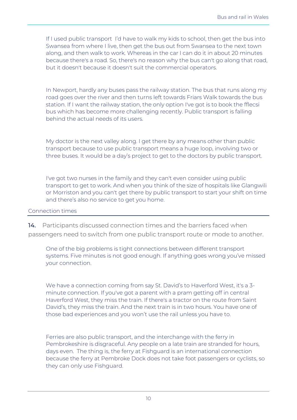If I used public transport I'd have to walk my kids to school, then get the bus into Swansea from where I live, then get the bus out from Swansea to the next town along, and then walk to work. Whereas in the car I can do it in about 20 minutes because there's a road. So, there's no reason why the bus can't go along that road, but it doesn't because it doesn't suit the commercial operators.

In Newport, hardly any buses pass the railway station. The bus that runs along my road goes over the river and then turns left towards Friars Walk towards the bus station. If I want the railway station, the only option I've got is to book the fflecsi bus which has become more challenging recently. Public transport is falling behind the actual needs of its users.

My doctor is the next valley along. I get there by any means other than public transport because to use public transport means a huge loop, involving two or three buses. It would be a day's project to get to the doctors by public transport.

I've got two nurses in the family and they can't even consider using public transport to get to work. And when you think of the size of hospitals like Glangwili or Morriston and you can't get there by public transport to start your shift on time and there's also no service to get you home.

#### <span id="page-9-0"></span>Connection times

14. Participants discussed connection times and the barriers faced when passengers need to switch from one public transport route or mode to another.

One of the big problems is tight connections between different transport systems. Five minutes is not good enough. If anything goes wrong you've missed your connection.

We have a connection coming from say St. David's to Haverford West, it's a 3 minute connection. If you've got a parent with a pram getting off in central Haverford West, they miss the train. If there's a tractor on the route from Saint David's, they miss the train. And the next train is in two hours. You have one of those bad experiences and you won't use the rail unless you have to.

Ferries are also public transport, and the interchange with the ferry in Pembrokeshire is disgraceful. Any people on a late train are stranded for hours, days even. The thing is, the ferry at Fishguard is an international connection because the ferry at Pembroke Dock does not take foot passengers or cyclists, so they can only use Fishguard.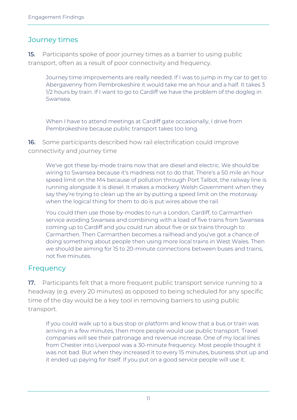## <span id="page-10-0"></span>Journey times

15. Participants spoke of poor journey times as a barrier to using public transport, often as a result of poor connectivity and frequency.

Journey time improvements are really needed. If I was to jump in my car to get to Abergavenny from Pembrokeshire it would take me an hour and a half. It takes 3 1/2 hours by train. If I want to go to Cardiff we have the problem of the dogleg in Swansea.

When I have to attend meetings at Cardiff gate occasionally, I drive from Pembrokeshire because public transport takes too long.

16. Some participants described how rail electrification could improve connectivity and journey time

We've got these by-mode trains now that are diesel and electric. We should be wiring to Swansea because it's madness not to do that. There's a 50 mile an hour speed limit on the M4 because of pollution through Port Talbot, the railway line is running alongside it is diesel. It makes a mockery Welsh Government when they say they're trying to clean up the air by putting a speed limit on the motorway when the logical thing for them to do is put wires above the rail.

You could then use those by-modes to run a London, Cardiff, to Carmarthen service avoiding Swansea and combining with a load of five trains from Swansea coming up to Cardiff and you could run about five or six trains through to Carmarthen. Then Carmarthen becomes a railhead and you've got a chance of doing something about people then using more local trains in West Wales. Then we should be aiming for 15 to 20-minute connections between buses and trains, not five minutes.

### <span id="page-10-1"></span>Frequency

17. Participants felt that a more frequent public transport service running to a headway (e.g. every 20 minutes) as opposed to being scheduled for any specific time of the day would be a key tool in removing barriers to using public transport.

If you could walk up to a bus stop or platform and know that a bus or train was arriving in a few minutes, then more people would use public transport. Travel companies will see their patronage and revenue increase. One of my local lines from Chester into Liverpool was a 30-minute frequency. Most people thought it was not bad. But when they increased it to every 15 minutes, business shot up and it ended up paying for itself. If you put on a good service people will use it.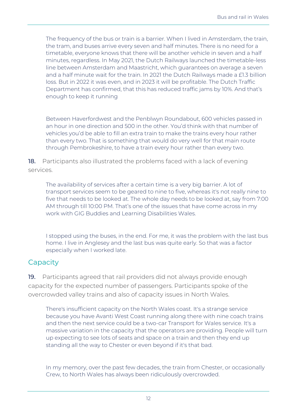The frequency of the bus or train is a barrier. When I lived in Amsterdam, the train, the tram, and buses arrive every seven and half minutes. There is no need for a timetable, everyone knows that there will be another vehicle in seven and a half minutes, regardless. In May 2021, the Dutch Railways launched the timetable-less line between Amsterdam and Maastricht, which guarantees on average a seven and a half minute wait for the train. In 2021 the Dutch Railways made a £1.3 billion loss. But in 2022 it was even, and in 2023 it will be profitable. The Dutch Traffic Department has confirmed, that this has reduced traffic jams by 10%. And that's enough to keep it running

Between Haverfordwest and the Penblwyn Roundabout, 600 vehicles passed in an hour in one direction and 500 in the other. You'd think with that number of vehicles you'd be able to fill an extra train to make the trains every hour rather than every two. That is something that would do very well for that main route through Pembrokeshire, to have a train every hour rather than every two.

18. Participants also illustrated the problems faced with a lack of evening services.

The availability of services after a certain time is a very big barrier. A lot of transport services seem to be geared to nine to five, whereas it's not really nine to five that needs to be looked at. The whole day needs to be looked at, say from 7:00 AM through till 10:00 PM. That's one of the issues that have come across in my work with GIG Buddies and Learning Disabilities Wales.

I stopped using the buses, in the end. For me, it was the problem with the last bus home. I live in Anglesey and the last bus was quite early. So that was a factor especially when I worked late.

### <span id="page-11-0"></span>**Capacity**

19. Participants agreed that rail providers did not always provide enough capacity for the expected number of passengers. Participants spoke of the overcrowded valley trains and also of capacity issues in North Wales.

There's insufficient capacity on the North Wales coast. It's a strange service because you have Avanti West Coast running along there with nine coach trains and then the next service could be a two-car Transport for Wales service. It's a massive variation in the capacity that the operators are providing. People will turn up expecting to see lots of seats and space on a train and then they end up standing all the way to Chester or even beyond if it's that bad.

In my memory, over the past few decades, the train from Chester, or occasionally Crew, to North Wales has always been ridiculously overcrowded.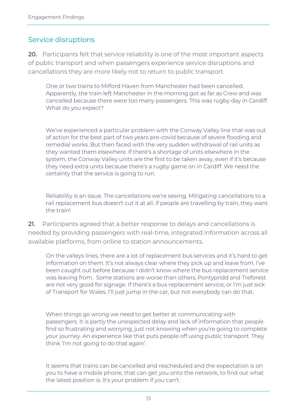## <span id="page-12-0"></span>Service disruptions

20. Participants felt that service reliability is one of the most important aspects of public transport and when passengers experience service disruptions and cancellations they are more likely not to return to public transport.

One or two trains to Milford Haven from Manchester had been cancelled. Apparently, the train left Manchester in the morning got as far as Crew and was cancelled because there were too many passengers. This was rugby day in Cardiff. What do you expect?

We've experienced a particular problem with the Conway Valley line that was out of action for the best part of two years pre-covid because of severe flooding and remedial works. But then faced with the very sudden withdrawal of rail units as they wanted them elsewhere. If there's a shortage of units elsewhere in the system, the Conway Valley units are the first to be taken away, even if it's because they need extra units because there's a rugby game on in Cardiff. We need the certainty that the service is going to run.

Reliability is an issue. The cancellations we're seeing. Mitigating cancellations to a rail replacement bus doesn't cut it at all. If people are travelling by train, they want the train!

21. Participants agreed that a better response to delays and cancellations is needed by providing passengers with real-time, integrated information across all available platforms, from online to station announcements.

On the valleys lines, there are a lot of replacement bus services and it's hard to get information on them. It's not always clear where they pick up and leave from. I've been caught out before because I didn't know where the bus replacement service was leaving from. Some stations are worse than others, Pontypridd and Treforest are not very good for signage. If there's a bus replacement service, or I'm just sick of Transport for Wales, I'll just jump in the car, but not everybody can do that.

When things go wrong we need to get better at communicating with passengers. It is partly the unexpected delay and lack of information that people find so frustrating and worrying, just not knowing when you're going to complete your journey. An experience like that puts people off using public transport. They think 'I'm not going to do that again'.

It seems that trains can be cancelled and rescheduled and the expectation is on you to have a mobile phone, that can get you onto the network, to find out what the latest position is. It's your problem if you can't.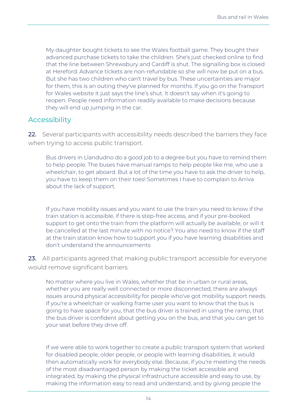My daughter bought tickets to see the Wales football game. They bought their advanced purchase tickets to take the children. She's just checked online to find that the line between Shrewsbury and Cardiff is shut. The signalling box is closed at Hereford. Advance tickets are non-refundable so she will now be put on a bus. But she has two children who can't travel by bus. These uncertainties are major for them, this is an outing they've planned for months. If you go on the Transport for Wales website it just says the line's shut. It doesn't say when it's going to reopen. People need information readily available to make decisions because they will end up jumping in the car.

### <span id="page-13-0"></span>Accessibility

22. Several participants with accessibility needs described the barriers they face when trying to access public transport.

Bus drivers in Llandudno do a good job to a degree but you have to remind them to help people. The buses have manual ramps to help people like me, who use a wheelchair, to get aboard. But a lot of the time you have to ask the driver to help, you have to keep them on their toes! Sometimes I have to complain to Arriva about the lack of support.

If you have mobility issues and you want to use the train you need to know if the train station is accessible, if there is step-free access, and if your pre-booked support to get onto the train from the platform will actually be available, or will it be cancelled at the last minute with no notice? You also need to know if the staff at the train station know how to support you if you have learning disabilities and don't understand the announcements

23. All participants agreed that making public transport accessible for everyone would remove significant barriers.

No matter where you live in Wales, whether that be in urban or rural areas, whether you are really well connected or more disconnected, there are always issues around physical accessibility for people who've got mobility support needs. If you're a wheelchair or walking frame user you want to know that the bus is going to have space for you, that the bus driver is trained in using the ramp, that the bus driver is confident about getting you on the bus, and that you can get to your seat before they drive off.

If we were able to work together to create a public transport system that worked for disabled people, older people, or people with learning disabilities, it would then automatically work for everybody else. Because, if you're meeting the needs of the most disadvantaged person by making the ticket accessible and integrated, by making the physical infrastructure accessible and easy to use, by making the information easy to read and understand, and by giving people the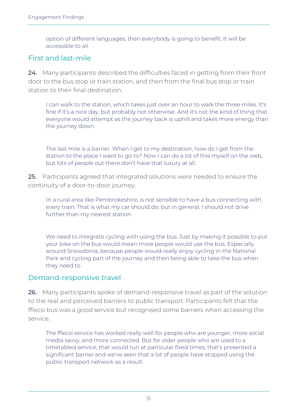option of different languages, then everybody is going to benefit. It will be accessible to all.

## <span id="page-14-0"></span>First and last-mile

24. Many participants described the difficulties faced in getting from their front door to the bus stop or train station, and then from the final bus stop or train station to their final destination.

I can walk to the station, which takes just over an hour to walk the three miles. It's fine if it's a nice day, but probably not otherwise. And it's not the kind of thing that everyone would attempt as the journey back is uphill and takes more energy than the journey down.

The last mile is a barrier. When I get to my destination, how do I get from the station to the place I want to go to? Now I can do a lot of this myself on the web, but lots of people out there don't have that luxury at all.

25. Participants agreed that integrated solutions were needed to ensure the continuity of a door-to-door journey.

In a rural area like Pembrokeshire, is not sensible to have a bus connecting with every train. That is what my car should do, but in general, I should not drive further than my nearest station.

We need to integrate cycling with using the bus. Just by making it possible to put your bike on the bus would mean more people would use the bus. Especially around Snowdonia, because people would really enjoy cycling in the National Park and cycling part of the journey and then being able to take the bus when they need to.

### <span id="page-14-1"></span>Demand-responsive travel

26. Many participants spoke of demand-responsive travel as part of the solution to the real and perceived barriers to public transport. Participants felt that the fflecsi bus was a good service but recognised some barriers when accessing the service.

The fflecsi service has worked really well for people who are younger, more social media savvy, and more connected. But for older people who are used to a timetabled service, that would run at particular fixed times, that's presented a significant barrier and we've seen that a lot of people have stopped using the public transport network as a result.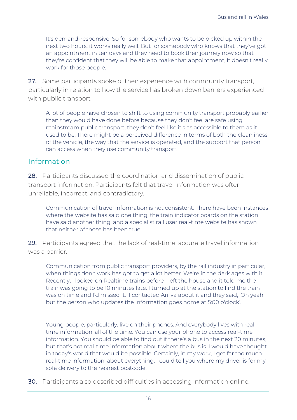It's demand-responsive. So for somebody who wants to be picked up within the next two hours, it works really well. But for somebody who knows that they've got an appointment in ten days and they need to book their journey now so that they're confident that they will be able to make that appointment, it doesn't really work for those people.

27. Some participants spoke of their experience with community transport, particularly in relation to how the service has broken down barriers experienced with public transport

A lot of people have chosen to shift to using community transport probably earlier than they would have done before because they don't feel are safe using mainstream public transport, they don't feel like it's as accessible to them as it used to be. There might be a perceived difference in terms of both the cleanliness of the vehicle, the way that the service is operated, and the support that person can access when they use community transport.

#### <span id="page-15-0"></span>Information

28. Participants discussed the coordination and dissemination of public transport information. Participants felt that travel information was often unreliable, incorrect, and contradictory.

Communication of travel information is not consistent. There have been instances where the website has said one thing, the train indicator boards on the station have said another thing, and a specialist rail user real-time website has shown that neither of those has been true.

29. Participants agreed that the lack of real-time, accurate travel information was a barrier.

Communication from public transport providers, by the rail industry in particular, when things don't work has got to get a lot better. We're in the dark ages with it. Recently, I looked on Realtime trains before I left the house and it told me the train was going to be 10 minutes late. I turned up at the station to find the train was on time and I'd missed it. I contacted Arriva about it and they said, 'Oh yeah, but the person who updates the information goes home at 5:00 o'clock'.

Young people, particularly, live on their phones. And everybody lives with realtime information, all of the time. You can use your phone to access real-time information. You should be able to find out if there's a bus in the next 20 minutes, but that's not real-time information about where the bus is. I would have thought in today's world that would be possible. Certainly, in my work, I get far too much real-time information, about everything. I could tell you where my driver is for my sofa delivery to the nearest postcode.

30. Participants also described difficulties in accessing information online.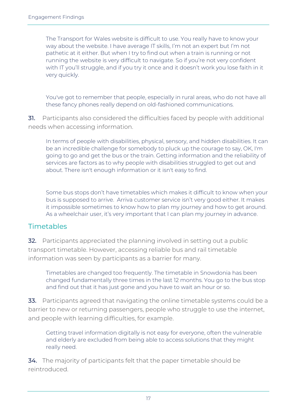The Transport for Wales website is difficult to use. You really have to know your way about the website. I have average IT skills, I'm not an expert but I'm not pathetic at it either. But when I try to find out when a train is running or not running the website is very difficult to navigate. So if you're not very confident with IT you'll struggle, and if you try it once and it doesn't work you lose faith in it very quickly.

You've got to remember that people, especially in rural areas, who do not have all these fancy phones really depend on old-fashioned communications.

31. Participants also considered the difficulties faced by people with additional needs when accessing information.

In terms of people with disabilities, physical, sensory, and hidden disabilities. It can be an incredible challenge for somebody to pluck up the courage to say, OK, I'm going to go and get the bus or the train. Getting information and the reliability of services are factors as to why people with disabilities struggled to get out and about. There isn't enough information or it isn't easy to find.

Some bus stops don't have timetables which makes it difficult to know when your bus is supposed to arrive. Arriva customer service isn't very good either. It makes it impossible sometimes to know how to plan my journey and how to get around. As a wheelchair user, it's very important that I can plan my journey in advance.

## <span id="page-16-0"></span>Timetables

32. Participants appreciated the planning involved in setting out a public transport timetable. However, accessing reliable bus and rail timetable information was seen by participants as a barrier for many.

Timetables are changed too frequently. The timetable in Snowdonia has been changed fundamentally three times in the last 12 months. You go to the bus stop and find out that it has just gone and you have to wait an hour or so.

33. Participants agreed that navigating the online timetable systems could be a barrier to new or returning passengers, people who struggle to use the internet, and people with learning difficulties, for example.

Getting travel information digitally is not easy for everyone, often the vulnerable and elderly are excluded from being able to access solutions that they might really need.

34. The majority of participants felt that the paper timetable should be reintroduced.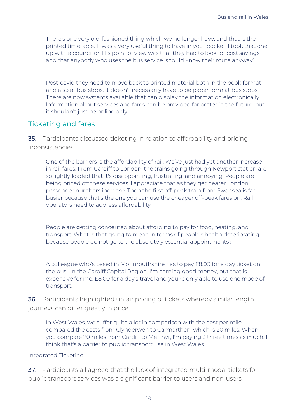There's one very old-fashioned thing which we no longer have, and that is the printed timetable. It was a very useful thing to have in your pocket. I took that one up with a councillor. His point of view was that they had to look for cost savings and that anybody who uses the bus service 'should know their route anyway'.

Post-covid they need to move back to printed material both in the book format and also at bus stops. It doesn't necessarily have to be paper form at bus stops. There are now systems available that can display the information electronically. Information about services and fares can be provided far better in the future, but it shouldn't just be online only.

#### <span id="page-17-0"></span>Ticketing and fares

35. Participants discussed ticketing in relation to affordability and pricing inconsistencies.

One of the barriers is the affordability of rail. We've just had yet another increase in rail fares. From Cardiff to London, the trains going through Newport station are so lightly loaded that it's disappointing, frustrating, and annoying. People are being priced off these services. I appreciate that as they get nearer London, passenger numbers increase. Then the first off-peak train from Swansea is far busier because that's the one you can use the cheaper off-peak fares on. Rail operators need to address affordability

People are getting concerned about affording to pay for food, heating, and transport. What is that going to mean in terms of people's health deteriorating because people do not go to the absolutely essential appointments?

A colleague who's based in Monmouthshire has to pay £8.00 for a day ticket on the bus, in the Cardiff Capital Region. I'm earning good money, but that is expensive for me. £8.00 for a day's travel and you're only able to use one mode of transport.

36. Participants highlighted unfair pricing of tickets whereby similar length journeys can differ greatly in price.

In West Wales, we suffer quite a lot in comparison with the cost per mile. I compared the costs from Clynderwen to Carmarthen, which is 20 miles. When you compare 20 miles from Cardiff to Merthyr, I'm paying 3 three times as much. I think that's a barrier to public transport use in West Wales.

#### <span id="page-17-1"></span>Integrated Ticketing

37. Participants all agreed that the lack of integrated multi-modal tickets for public transport services was a significant barrier to users and non-users.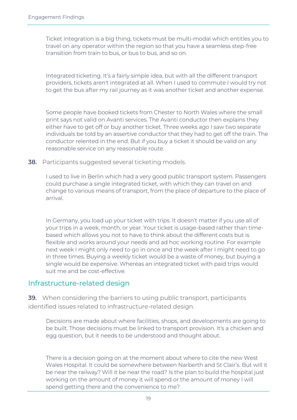Ticket integration is a big thing, tickets must be multi-modal which entitles you to travel on any operator within the region so that you have a seamless step-free transition from train to bus, or bus to bus, and so on.

Integrated ticketing. It's a fairly simple idea, but with all the different transport providers, tickets aren't integrated at all. When I used to commute I would try not to get the bus after my rail journey as it was another ticket and another expense.

Some people have booked tickets from Chester to North Wales where the small print says not valid on Avanti services. The Avanti conductor then explains they either have to get off or buy another ticket. Three weeks ago I saw two separate individuals be told by an assertive conductor that they had to get off the train. The conductor relented in the end. But if you buy a ticket it should be valid on any reasonable service on any reasonable route.

**38.** Participants suggested several ticketing models.

I used to live in Berlin which had a very good public transport system. Passengers could purchase a single integrated ticket, with which they can travel on and change to various means of transport, from the place of departure to the place of arrival.

In Germany, you load up your ticket with trips. It doesn't matter if you use all of your trips in a week, month, or year. Your ticket is usage-based rather than timebased which allows you not to have to think about the different costs but is flexible and works around your needs and ad hoc working routine. For example next week I might only need to go in once and the week after I might need to go in three times. Buying a weekly ticket would be a waste of money, but buying a single would be expensive. Whereas an integrated ticket with paid trips would suit me and be cost-effective.

#### <span id="page-18-0"></span>Infrastructure-related design

39. When considering the barriers to using public transport, participants identified issues related to infrastructure-related design.

Decisions are made about where facilities, shops, and developments are going to be built. Those decisions must be linked to transport provision. It's a chicken and egg question, but it needs to be understood and thought about.

There is a decision going on at the moment about where to cite the new West Wales Hospital. It could be somewhere between Narberth and St Clair's. But will it be near the railway? Will it be near the road? Is the plan to build the hospital just working on the amount of money it will spend or the amount of money I will spend getting there and the convenience to me?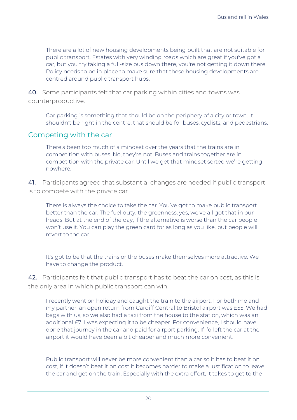There are a lot of new housing developments being built that are not suitable for public transport. Estates with very winding roads which are great if you've got a car, but you try taking a full-size bus down there, you're not getting it down there. Policy needs to be in place to make sure that these housing developments are centred around public transport hubs.

40. Some participants felt that car parking within cities and towns was counterproductive.

Car parking is something that should be on the periphery of a city or town. It shouldn't be right in the centre, that should be for buses, cyclists, and pedestrians.

#### <span id="page-19-0"></span>Competing with the car

There's been too much of a mindset over the years that the trains are in competition with buses. No, they're not. Buses and trains together are in competition with the private car. Until we get that mindset sorted we're getting nowhere.

41. Participants agreed that substantial changes are needed if public transport is to compete with the private car.

There is always the choice to take the car. You've got to make public transport better than the car. The fuel duty, the greenness, yes, we've all got that in our heads. But at the end of the day, if the alternative is worse than the car people won't use it. You can play the green card for as long as you like, but people will revert to the car.

It's got to be that the trains or the buses make themselves more attractive. We have to change the product.

42. Participants felt that public transport has to beat the car on cost, as this is the only area in which public transport can win.

I recently went on holiday and caught the train to the airport. For both me and my partner, an open return from Cardiff Central to Bristol airport was £55. We had bags with us, so we also had a taxi from the house to the station, which was an additional £7. I was expecting it to be cheaper. For convenience, I should have done that journey in the car and paid for airport parking. If I'd left the car at the airport it would have been a bit cheaper and much more convenient.

Public transport will never be more convenient than a car so it has to beat it on cost, if it doesn't beat it on cost it becomes harder to make a justification to leave the car and get on the train. Especially with the extra effort, it takes to get to the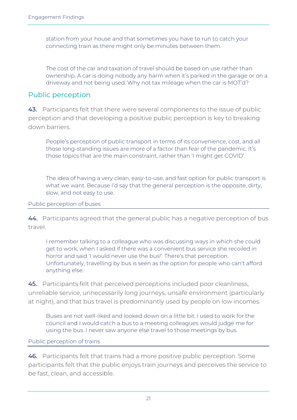station from your house and that sometimes you have to run to catch your connecting train as there might only be minutes between them.

The cost of the car and taxation of travel should be based on use rather than ownership. A car is doing nobody any harm when it's parked in the garage or on a driveway and not being used. Why not tax mileage when the car is MOT'd?

#### <span id="page-20-0"></span>Public perception

43. Participants felt that there were several components to the issue of public perception and that developing a positive public perception is key to breaking down barriers.

People's perception of public transport in terms of its convenience, cost, and all those long-standing issues are more of a factor than fear of the pandemic. It's those topics that are the main constraint, rather than 'I might get COVID'.

The idea of having a very clean, easy-to-use, and fast option for public transport is what we want. Because I'd say that the general perception is the opposite, dirty, slow, and not easy to use.

#### <span id="page-20-1"></span>Public perception of buses

44. Participants agreed that the general public has a negative perception of bus travel.

I remember talking to a colleague who was discussing ways in which she could get to work, when I asked if there was a convenient bus service she recoiled in horror and said 'I would never use the bus!'. There's that perception. Unfortunately, travelling by bus is seen as the option for people who can't afford anything else.

45. Participants felt that perceived perceptions included poor cleanliness, unreliable service, unnecessarily long journeys, unsafe environment (particularly at night), and that bus travel is predominantly used by people on low incomes.

Buses are not well-liked and looked down on a little bit. I used to work for the council and I would catch a bus to a meeting colleagues would judge me for using the bus. I never saw anyone else travel to those meetings by bus.

#### <span id="page-20-2"></span>Public perception of trains

46. Participants felt that trains had a more positive public perception. Some participants felt that the public enjoys train journeys and perceives the service to be fast, clean, and accessible.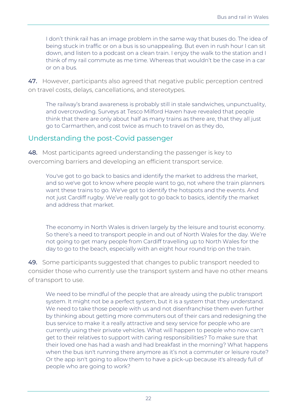I don't think rail has an image problem in the same way that buses do. The idea of being stuck in traffic or on a bus is so unappealing. But even in rush hour I can sit down, and listen to a podcast on a clean train. I enjoy the walk to the station and I think of my rail commute as me time. Whereas that wouldn't be the case in a car or on a bus.

47. However, participants also agreed that negative public perception centred on travel costs, delays, cancellations, and stereotypes.

The railway's brand awareness is probably still in stale sandwiches, unpunctuality, and overcrowding. Surveys at Tesco Milford Haven have revealed that people think that there are only about half as many trains as there are, that they all just go to Carmarthen, and cost twice as much to travel on as they do.

### <span id="page-21-0"></span>Understanding the post-Covid passenger

48. Most participants agreed understanding the passenger is key to overcoming barriers and developing an efficient transport service.

You've got to go back to basics and identify the market to address the market, and so we've got to know where people want to go, not where the train planners want these trains to go. We've got to identify the hotspots and the events. And not just Cardiff rugby. We've really got to go back to basics, identify the market and address that market.

The economy in North Wales is driven largely by the leisure and tourist economy. So there's a need to transport people in and out of North Wales for the day. We're not going to get many people from Cardiff travelling up to North Wales for the day to go to the beach, especially with an eight hour round trip on the train.

49. Some participants suggested that changes to public transport needed to consider those who currently use the transport system and have no other means of transport to use.

We need to be mindful of the people that are already using the public transport system. It might not be a perfect system, but it is a system that they understand. We need to take those people with us and not disenfranchise them even further by thinking about getting more commuters out of their cars and redesigning the bus service to make it a really attractive and sexy service for people who are currently using their private vehicles. What will happen to people who now can't get to their relatives to support with caring responsibilities? To make sure that their loved one has had a wash and had breakfast in the morning? What happens when the bus isn't running there anymore as it's not a commuter or leisure route? Or the app isn't going to allow them to have a pick-up because it's already full of people who are going to work?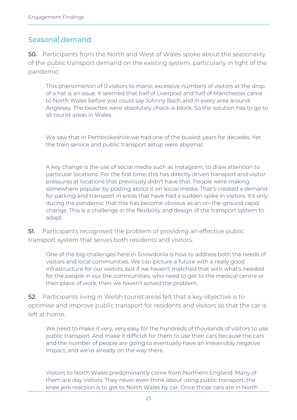#### <span id="page-22-0"></span>Seasonal demand

50. Participants from the North and West of Wales spoke about the seasonality of the public transport demand on the existing system, particularly in light of the pandemic.

This phenomenon of 0 visitors to manic excessive numbers of visitors at the drop of a hat is an issue. It seemed that half of Liverpool and half of Manchester came to North Wales before you could say Johnny Bach and in every area around Anglesey. The beaches were absolutely chock-a-block. So the solution has to go to all tourist areas in Wales.

We saw that in Pembrokeshire we had one of the busiest years for decades. Yet the train service and public transport setup were abysmal.

A key change is the use of social media such as Instagram, to draw attention to particular locations. For the first time, this has directly driven transport and visitor pressures at locations that previously didn't have that. People were making somewhere popular by posting about it on social media. That's created a demand for parking and transport in areas that have had a sudden spike in visitors. It's only during the pandemic that this has become obvious as an on-the-ground rapid change. This is a challenge in the flexibility and design of the transport system to adapt.

**51.** Participants recognised the problem of providing an effective public transport system that serves both residents and visitors.

One of the big challenges here in Snowdonia is how to address both the needs of visitors and local communities. We can picture a future with a really good infrastructure for our visitors, but if we haven't matched that with what's needed for the people in our the communities, who need to get to the medical centre or their place of work, then we haven't solved the problem.

52. Participants living in Welsh tourist areas felt that a key objective is to optimise and improve public transport for residents and visitors so that the car is left at home.

We need to make it very, very easy for the hundreds of thousands of visitors to use public transport. And make it difficult for them to use their cars because the cars and the number of people are going to eventually have an irreversibly negative impact, and we're already on the way there.

Visitors to North Wales predominantly come from Northern England. Many of them are day visitors. They never even think about using public transport, the knee jerk reaction is to get to North Wales by car. Once those cars are in North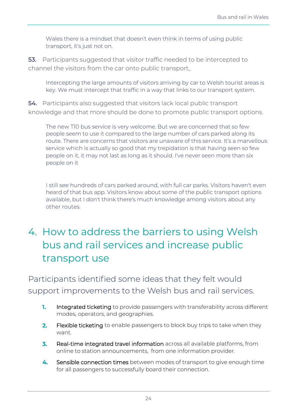Wales there is a mindset that doesn't even think in terms of using public transport, it's just not on.

53. Participants suggested that visitor traffic needed to be intercepted to channel the visitors from the car onto public transport,.

Intercepting the large amounts of visitors arriving by car to Welsh tourist areas is key. We must intercept that traffic in a way that links to our transport system.

54. Participants also suggested that visitors lack local public transport knowledge and that more should be done to promote public transport options.

The new T10 bus service is very welcome. But we are concerned that so few people seem to use it compared to the large number of cars parked along its route. There are concerns that visitors are unaware of this service. It's a marvellous service which is actually so good that my trepidation is that having seen so few people on it, it may not last as long as it should. I've never seen more than six people on it

I still see hundreds of cars parked around, with full car parks. Visitors haven't even heard of that bus app. Visitors know about some of the public transport options available, but I don't think there's much knowledge among visitors about any other routes.

# <span id="page-23-0"></span>4. How to address the barriers to using Welsh bus and rail services and increase public transport use

Participants identified some ideas that they felt would support improvements to the Welsh bus and rail services.

- 1. Integrated ticketing to provide passengers with transferability across different modes, operators, and geographies.
- Flexible ticketing to enable passengers to block buy trips to take when they  $2.$ want.
- Real-time integrated travel information across all available platforms, from  $\overline{3}$ . online to station announcements, from one information provider.
- 4. Sensible connection times between modes of transport to give enough time for all passengers to successfully board their connection.